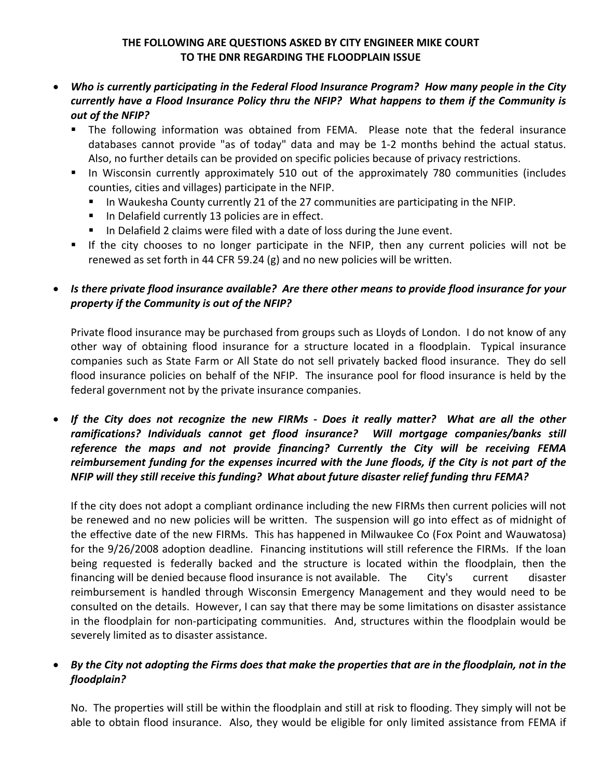## **THE FOLLOWING ARE QUESTIONS ASKED BY CITY ENGINEER MIKE COURT TO THE DNR REGARDING THE FLOODPLAIN ISSUE**

- *Who is currently participating in the Federal Flood Insurance Program? How many people in the City currently have a Flood Insurance Policy thru the NFIP? What happens to them if the Community is out of the NFIP?*
	- **The following information was obtained from FEMA.** Please note that the federal insurance databases cannot provide "as of today" data and may be 1‐2 months behind the actual status. Also, no further details can be provided on specific policies because of privacy restrictions.
	- In Wisconsin currently approximately 510 out of the approximately 780 communities (includes counties, cities and villages) participate in the NFIP.
		- In Waukesha County currently 21 of the 27 communities are participating in the NFIP.
		- In Delafield currently 13 policies are in effect.
		- In Delafield 2 claims were filed with a date of loss during the June event.
	- If the city chooses to no longer participate in the NFIP, then any current policies will not be renewed as set forth in 44 CFR 59.24 (g) and no new policies will be written.

## • *Is there private flood insurance available? Are there other means to provide flood insurance for your property if the Community is out of the NFIP?*

Private flood insurance may be purchased from groups such as Lloyds of London. I do not know of any other way of obtaining flood insurance for a structure located in a floodplain. Typical insurance companies such as State Farm or All State do not sell privately backed flood insurance. They do sell flood insurance policies on behalf of the NFIP. The insurance pool for flood insurance is held by the federal government not by the private insurance companies.

• If the City does not recognize the new FIRMs - Does it really matter? What are all the other *ramifications? Individuals cannot get flood insurance? Will mortgage companies/banks still reference the maps and not provide financing? Currently the City will be receiving FEMA* reimbursement funding for the expenses incurred with the June floods, if the City is not part of the *NFIP will they still receive this funding? What about future disaster relief funding thru FEMA?*

If the city does not adopt a compliant ordinance including the new FIRMs then current policies will not be renewed and no new policies will be written. The suspension will go into effect as of midnight of the effective date of the new FIRMs. This has happened in Milwaukee Co (Fox Point and Wauwatosa) for the 9/26/2008 adoption deadline. Financing institutions will still reference the FIRMs. If the loan being requested is federally backed and the structure is located within the floodplain, then the financing will be denied because flood insurance is not available. The City's current disaster reimbursement is handled through Wisconsin Emergency Management and they would need to be consulted on the details. However, I can say that there may be some limitations on disaster assistance in the floodplain for non‐participating communities. And, structures within the floodplain would be severely limited as to disaster assistance.

## By the City not adopting the Firms does that make the properties that are in the floodplain, not in the *floodplain?*

No. The properties will still be within the floodplain and still at risk to flooding. They simply will not be able to obtain flood insurance. Also, they would be eligible for only limited assistance from FEMA if